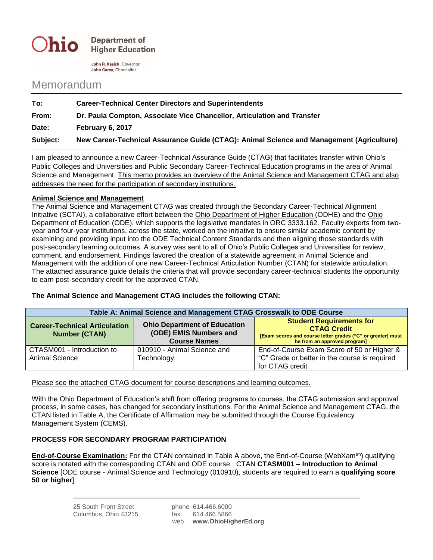

**Department of Higher Education** 

John R. Kasich, Governor John Carev. Chancellor

## Memorandum

| To:      | <b>Career-Technical Center Directors and Superintendents</b>                             |  |
|----------|------------------------------------------------------------------------------------------|--|
| From:    | Dr. Paula Compton, Associate Vice Chancellor, Articulation and Transfer                  |  |
| Date:    | February 6, 2017                                                                         |  |
| Subject: | New Career-Technical Assurance Guide (CTAG): Animal Science and Management (Agriculture) |  |
|          |                                                                                          |  |

I am pleased to announce a new Career-Technical Assurance Guide (CTAG) that facilitates transfer within Ohio's Public Colleges and Universities and Public Secondary Career-Technical Education programs in the area of Animal Science and Management. This memo provides an overview of the Animal Science and Management CTAG and also addresses the need for the participation of secondary institutions.

## **Animal Science and Management**

The Animal Science and Management CTAG was created through the Secondary Career-Technical Alignment Initiative (SCTAI), a collaborative effort between the Ohio Department of Higher Education (ODHE) and the Ohio Department of Education (ODE), which supports the legislative mandates in ORC 3333.162. Faculty experts from twoyear and four-year institutions, across the state, worked on the initiative to ensure similar academic content by examining and providing input into the ODE Technical Content Standards and then aligning those standards with post-secondary learning outcomes. A survey was sent to all of Ohio's Public Colleges and Universities for review, comment, and endorsement. Findings favored the creation of a statewide agreement in Animal Science and Management with the addition of one new Career-Technical Articulation Number (CTAN) for statewide articulation. The attached assurance guide details the criteria that will provide secondary career-technical students the opportunity to earn post-secondary credit for the approved CTAN.

## **The Animal Science and Management CTAG includes the following CTAN:**

| Table A: Animal Science and Management CTAG Crosswalk to ODE Course |                                                                                      |                                                                                                                                                      |  |
|---------------------------------------------------------------------|--------------------------------------------------------------------------------------|------------------------------------------------------------------------------------------------------------------------------------------------------|--|
| <b>Career-Technical Articulation</b><br><b>Number (CTAN)</b>        | <b>Ohio Department of Education</b><br>(ODE) EMIS Numbers and<br><b>Course Names</b> | <b>Student Requirements for</b><br><b>CTAG Credit</b><br>[Exam scores and course letter grades ("C" or greater) must<br>be from an approved program] |  |
| CTASM001 - Introduction to<br>Animal Science                        | 010910 - Animal Science and<br>Technology                                            | End-of-Course Exam Score of 50 or Higher &<br>"C" Grade or better in the course is required<br>for CTAG credit                                       |  |

Please see the attached CTAG document for course descriptions and learning outcomes.

With the Ohio Department of Education's shift from offering programs to courses, the CTAG submission and approval process, in some cases, has changed for secondary institutions. For the Animal Science and Management CTAG, the CTAN listed in Table A, the Certificate of Affirmation may be submitted through the Course Equivalency Management System (CEMS).

## **PROCESS FOR SECONDARY PROGRAM PARTICIPATION**

**End-of-Course Examination:** For the CTAN contained in Table A above, the End-of-Course (WebXam<sup>tm</sup>) qualifying score is notated with the corresponding CTAN and ODE course. CTAN **CTASM001 – Introduction to Animal Science** [ODE course - Animal Science and Technology (010910), students are required to earn a **qualifying score 50 or higher**].